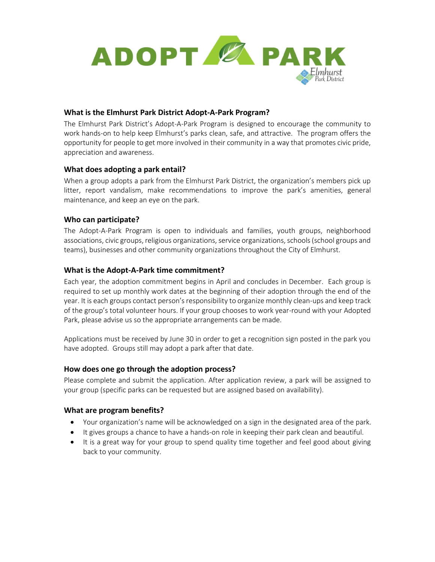

### **What is the Elmhurst Park District Adopt-A-Park Program?**

The Elmhurst Park District's Adopt-A-Park Program is designed to encourage the community to work hands-on to help keep Elmhurst's parks clean, safe, and attractive. The program offers the opportunity for people to get more involved in their community in a way that promotes civic pride, appreciation and awareness.

# **What does adopting a park entail?**

When a group adopts a park from the Elmhurst Park District, the organization's members pick up litter, report vandalism, make recommendations to improve the park's amenities, general maintenance, and keep an eye on the park.

### **Who can participate?**

The Adopt-A-Park Program is open to individuals and families, youth groups, neighborhood associations, civic groups, religious organizations, service organizations, schools (school groups and teams), businesses and other community organizations throughout the City of Elmhurst.

### **What is the Adopt-A-Park time commitment?**

Each year, the adoption commitment begins in April and concludes in December. Each group is required to set up monthly work dates at the beginning of their adoption through the end of the year. It is each groups contact person's responsibility to organize monthly clean-ups and keep track of the group's total volunteer hours. If your group chooses to work year-round with your Adopted Park, please advise us so the appropriate arrangements can be made.

Applications must be received by June 30 in order to get a recognition sign posted in the park you have adopted. Groups still may adopt a park after that date.

# **How does one go through the adoption process?**

Please complete and submit the application. After application review, a park will be assigned to your group (specific parks can be requested but are assigned based on availability).

#### **What are program benefits?**

- Your organization's name will be acknowledged on a sign in the designated area of the park.
- It gives groups a chance to have a hands-on role in keeping their park clean and beautiful.
- It is a great way for your group to spend quality time together and feel good about giving back to your community.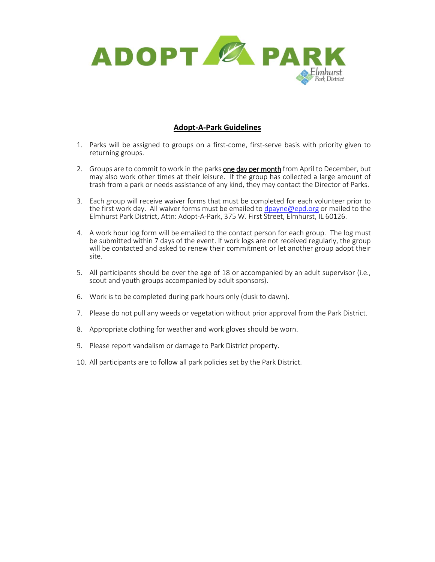

# **Adopt-A-Park Guidelines**

- 1. Parks will be assigned to groups on a first-come, first-serve basis with priority given to returning groups.
- 2. Groups are to commit to work in the parks one day per month from April to December, but may also work other times at their leisure. If the group has collected a large amount of trash from a park or needs assistance of any kind, they may contact the Director of Parks.
- 3. Each group will receive waiver forms that must be completed for each volunteer prior to the first work day. All waiver forms must be emailed to [dpayne@epd.org](mailto:dpayne@epd.org) or mailed to the Elmhurst Park District, Attn: Adopt-A-Park, 375 W. First Street, Elmhurst, IL 60126.
- 4. A work hour log form will be emailed to the contact person for each group. The log must be submitted within 7 days of the event. If work logs are not received regularly, the group will be contacted and asked to renew their commitment or let another group adopt their site.
- 5. All participants should be over the age of 18 or accompanied by an adult supervisor (i.e., scout and youth groups accompanied by adult sponsors).
- 6. Work is to be completed during park hours only (dusk to dawn).
- 7. Please do not pull any weeds or vegetation without prior approval from the Park District.
- 8. Appropriate clothing for weather and work gloves should be worn.
- 9. Please report vandalism or damage to Park District property.
- 10. All participants are to follow all park policies set by the Park District.